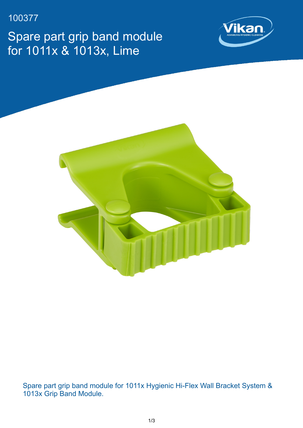100377

Spare part grip band module for 1011x & 1013x, Lime





Spare part grip band module for 1011x Hygienic Hi-Flex Wall Bracket System & 1013x Grip Band Module.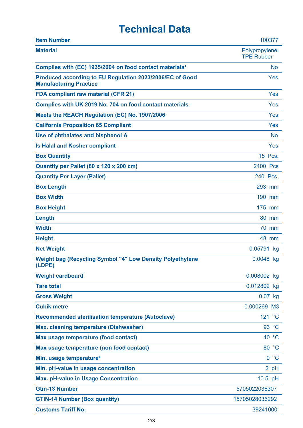## **Technical Data**

| <b>Item Number</b>                                                                        | 100377                             |
|-------------------------------------------------------------------------------------------|------------------------------------|
| <b>Material</b>                                                                           | Polypropylene<br><b>TPE Rubber</b> |
| Complies with (EC) 1935/2004 on food contact materials <sup>1</sup>                       | <b>No</b>                          |
| Produced according to EU Regulation 2023/2006/EC of Good<br><b>Manufacturing Practice</b> | Yes                                |
| <b>FDA compliant raw material (CFR 21)</b>                                                | Yes                                |
| Complies with UK 2019 No. 704 on food contact materials                                   | Yes                                |
| Meets the REACH Regulation (EC) No. 1907/2006                                             | Yes                                |
| <b>California Proposition 65 Compliant</b>                                                | Yes                                |
| Use of phthalates and bisphenol A                                                         | <b>No</b>                          |
| <b>Is Halal and Kosher compliant</b>                                                      | Yes                                |
| <b>Box Quantity</b>                                                                       | 15 Pcs.                            |
| Quantity per Pallet (80 x 120 x 200 cm)                                                   | 2400 Pcs                           |
| <b>Quantity Per Layer (Pallet)</b>                                                        | 240 Pcs.                           |
| <b>Box Length</b>                                                                         | 293 mm                             |
| <b>Box Width</b>                                                                          | 190 mm                             |
| <b>Box Height</b>                                                                         | 175 mm                             |
| Length                                                                                    | 80 mm                              |
| <b>Width</b>                                                                              | 70 mm                              |
| <b>Height</b>                                                                             | 48 mm                              |
| <b>Net Weight</b>                                                                         | 0.05791 kg                         |
| <b>Weight bag (Recycling Symbol "4" Low Density Polyethylene</b><br>(LDPE)                | 0.0048 kg                          |
| <b>Weight cardboard</b>                                                                   | 0.008002 kg                        |
| <b>Tare total</b>                                                                         | 0.012802 kg                        |
| <b>Gross Weight</b>                                                                       | $0.07$ kg                          |
| <b>Cubik metre</b>                                                                        | 0.000269 M3                        |
| <b>Recommended sterilisation temperature (Autoclave)</b>                                  | 121 °C                             |
| Max. cleaning temperature (Dishwasher)                                                    | 93 °C                              |
| Max usage temperature (food contact)                                                      | 40 °C                              |
| Max usage temperature (non food contact)                                                  | 80 °C                              |
| Min. usage temperature <sup>3</sup>                                                       | 0 °C                               |
| Min. pH-value in usage concentration                                                      | 2 pH                               |
| <b>Max. pH-value in Usage Concentration</b>                                               | 10.5 pH                            |
| <b>Gtin-13 Number</b>                                                                     | 5705022036307                      |
| <b>GTIN-14 Number (Box quantity)</b>                                                      | 15705028036292                     |
| <b>Customs Tariff No.</b>                                                                 | 39241000                           |